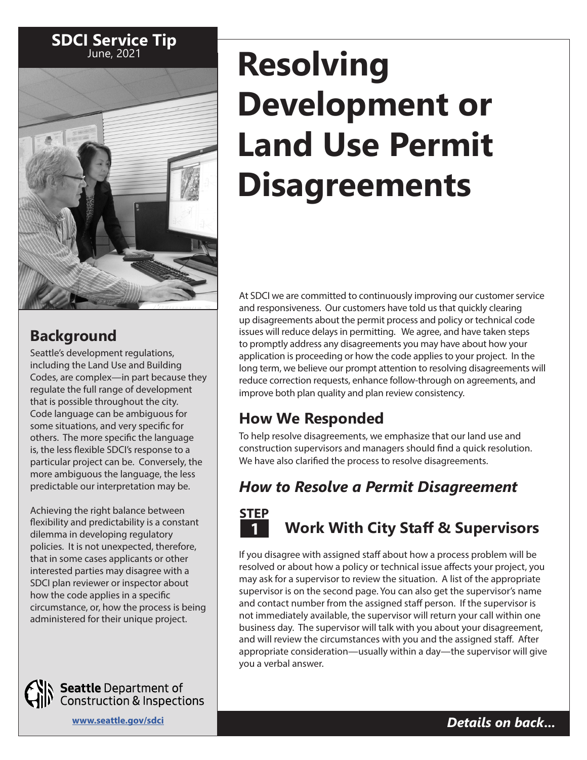

## **Background**

Seattle's development regulations, including the Land Use and Building Codes, are complex—in part because they regulate the full range of development that is possible throughout the city. Code language can be ambiguous for some situations, and very specific for others. The more specific the language is, the less flexible SDCI's response to a particular project can be. Conversely, the more ambiguous the language, the less predictable our interpretation may be.

Achieving the right balance between flexibility and predictability is a constant dilemma in developing regulatory policies. It is not unexpected, therefore, that in some cases applicants or other interested parties may disagree with a SDCI plan reviewer or inspector about how the code applies in a specific circumstance, or, how the process is being administered for their unique project.



**Seattle** Department of<br>Construction & Inspections

# **Resolving Development or Land Use Permit Disagreements**

At SDCI we are committed to continuously improving our customer service and responsiveness. Our customers have told us that quickly clearing up disagreements about the permit process and policy or technical code issues will reduce delays in permitting. We agree, and have taken steps to promptly address any disagreements you may have about how your application is proceeding or how the code applies to your project. In the long term, we believe our prompt attention to resolving disagreements will reduce correction requests, enhance follow-through on agreements, and improve both plan quality and plan review consistency.

## **How We Responded**

To help resolve disagreements, we emphasize that our land use and construction supervisors and managers should find a quick resolution. We have also clarified the process to resolve disagreements.

## *How to Resolve a Permit Disagreement*



## **Work With City Staff & Supervisors**

If you disagree with assigned staff about how a process problem will be resolved or about how a policy or technical issue affects your project, you may ask for a supervisor to review the situation. A list of the appropriate supervisor is on the second page. You can also get the supervisor's name and contact number from the assigned staff person. If the supervisor is not immediately available, the supervisor will return your call within one business day. The supervisor will talk with you about your disagreement, and will review the circumstances with you and the assigned staff. After appropriate consideration—usually within a day—the supervisor will give you a verbal answer.